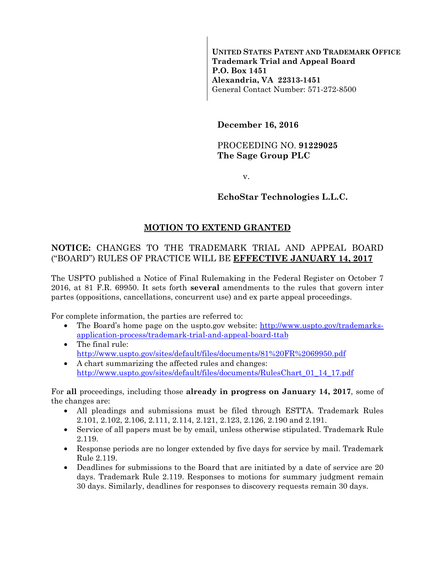**UNITED STATES PATENT AND TRADEMARK OFFICE Trademark Trial and Appeal Board P.O. Box 1451 Alexandria, VA 22313-1451**  General Contact Number: 571-272-8500

**December 16, 2016** 

# PROCEEDING NO. **91229025 The Sage Group PLC**

v.

# **EchoStar Technologies L.L.C.**

# **MOTION TO EXTEND GRANTED**

# **NOTICE:** CHANGES TO THE TRADEMARK TRIAL AND APPEAL BOARD ("BOARD") RULES OF PRACTICE WILL BE **EFFECTIVE JANUARY 14, 2017**

The USPTO published a Notice of Final Rulemaking in the Federal Register on October 7 2016, at 81 F.R. 69950. It sets forth **several** amendments to the rules that govern inter partes (oppositions, cancellations, concurrent use) and ex parte appeal proceedings.

For complete information, the parties are referred to:

- The Board's home page on the uspto.gov website: http://www.uspto.gov/trademarksapplication-process/trademark-trial-and-appeal-board-ttab
- The final rule: http://www.uspto.gov/sites/default/files/documents/81%20FR%2069950.pdf
- A chart summarizing the affected rules and changes: http://www.uspto.gov/sites/default/files/documents/RulesChart\_01\_14\_17.pdf

For **all** proceedings, including those **already in progress on January 14, 2017**, some of the changes are:

- All pleadings and submissions must be filed through ESTTA. Trademark Rules 2.101, 2.102, 2.106, 2.111, 2.114, 2.121, 2.123, 2.126, 2.190 and 2.191.
- Service of all papers must be by email, unless otherwise stipulated. Trademark Rule 2.119.
- Response periods are no longer extended by five days for service by mail. Trademark Rule 2.119.
- Deadlines for submissions to the Board that are initiated by a date of service are 20 days. Trademark Rule 2.119. Responses to motions for summary judgment remain 30 days. Similarly, deadlines for responses to discovery requests remain 30 days.